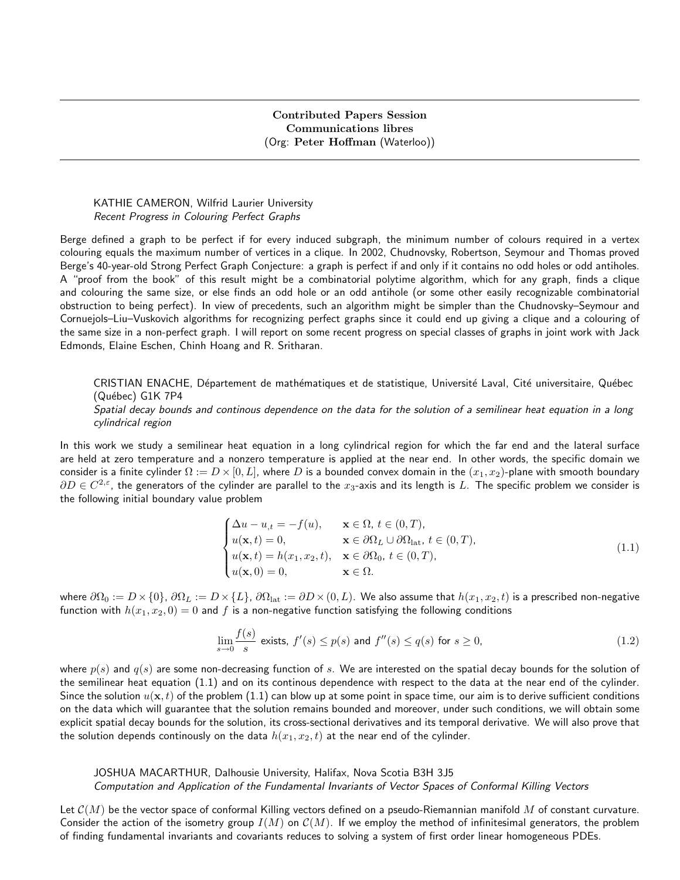# Contributed Papers Session Communications libres (Org: Peter Hoffman (Waterloo))

# KATHIE CAMERON, Wilfrid Laurier University Recent Progress in Colouring Perfect Graphs

Berge defined a graph to be perfect if for every induced subgraph, the minimum number of colours required in a vertex colouring equals the maximum number of vertices in a clique. In 2002, Chudnovsky, Robertson, Seymour and Thomas proved Berge's 40-year-old Strong Perfect Graph Conjecture: a graph is perfect if and only if it contains no odd holes or odd antiholes. A "proof from the book" of this result might be a combinatorial polytime algorithm, which for any graph, finds a clique and colouring the same size, or else finds an odd hole or an odd antihole (or some other easily recognizable combinatorial obstruction to being perfect). In view of precedents, such an algorithm might be simpler than the Chudnovsky–Seymour and Cornuejols–Liu–Vuskovich algorithms for recognizing perfect graphs since it could end up giving a clique and a colouring of the same size in a non-perfect graph. I will report on some recent progress on special classes of graphs in joint work with Jack Edmonds, Elaine Eschen, Chinh Hoang and R. Sritharan.

CRISTIAN ENACHE, Département de mathématiques et de statistique, Université Laval, Cité universitaire, Québec (Québec) G1K 7P4

Spatial decay bounds and continous dependence on the data for the solution of a semilinear heat equation in a long cylindrical region

In this work we study a semilinear heat equation in a long cylindrical region for which the far end and the lateral surface are held at zero temperature and a nonzero temperature is applied at the near end. In other words, the specific domain we consider is a finite cylinder  $\Omega := D \times [0, L]$ , where D is a bounded convex domain in the  $(x_1, x_2)$ -plane with smooth boundary  $\partial D\in C^{2,\varepsilon}$ , the generators of the cylinder are parallel to the  $x_3$ -axis and its length is  $L.$  The specific problem we consider is the following initial boundary value problem

$$
\begin{cases}\n\Delta u - u_{,t} = -f(u), & \mathbf{x} \in \Omega, t \in (0, T), \\
u(\mathbf{x}, t) = 0, & \mathbf{x} \in \partial\Omega_L \cup \partial\Omega_{\text{lat}}, t \in (0, T), \\
u(\mathbf{x}, t) = h(x_1, x_2, t), & \mathbf{x} \in \partial\Omega_0, t \in (0, T), \\
u(\mathbf{x}, 0) = 0, & \mathbf{x} \in \Omega.\n\end{cases}
$$
\n(1.1)

where  $\partial\Omega_0 := D\times\{0\}$ ,  $\partial\Omega_L := D\times\{L\}$ ,  $\partial\Omega_{\rm lat} := \partial D\times(0,L)$ . We also assume that  $h(x_1,x_2,t)$  is a prescribed non-negative function with  $h(x_1, x_2, 0) = 0$  and f is a non-negative function satisfying the following conditions

$$
\lim_{s \to 0} \frac{f(s)}{s} \text{ exists, } f'(s) \le p(s) \text{ and } f''(s) \le q(s) \text{ for } s \ge 0,
$$
\n(1.2)

where  $p(s)$  and  $q(s)$  are some non-decreasing function of s. We are interested on the spatial decay bounds for the solution of the semilinear heat equation (1.1) and on its continous dependence with respect to the data at the near end of the cylinder. Since the solution  $u(\mathbf{x}, t)$  of the problem (1.1) can blow up at some point in space time, our aim is to derive sufficient conditions on the data which will guarantee that the solution remains bounded and moreover, under such conditions, we will obtain some explicit spatial decay bounds for the solution, its cross-sectional derivatives and its temporal derivative. We will also prove that the solution depends continously on the data  $h(x_1, x_2, t)$  at the near end of the cylinder.

#### JOSHUA MACARTHUR, Dalhousie University, Halifax, Nova Scotia B3H 3J5

Computation and Application of the Fundamental Invariants of Vector Spaces of Conformal Killing Vectors

Let  $\mathcal{C}(M)$  be the vector space of conformal Killing vectors defined on a pseudo-Riemannian manifold M of constant curvature. Consider the action of the isometry group  $I(M)$  on  $C(M)$ . If we employ the method of infinitesimal generators, the problem of finding fundamental invariants and covariants reduces to solving a system of first order linear homogeneous PDEs.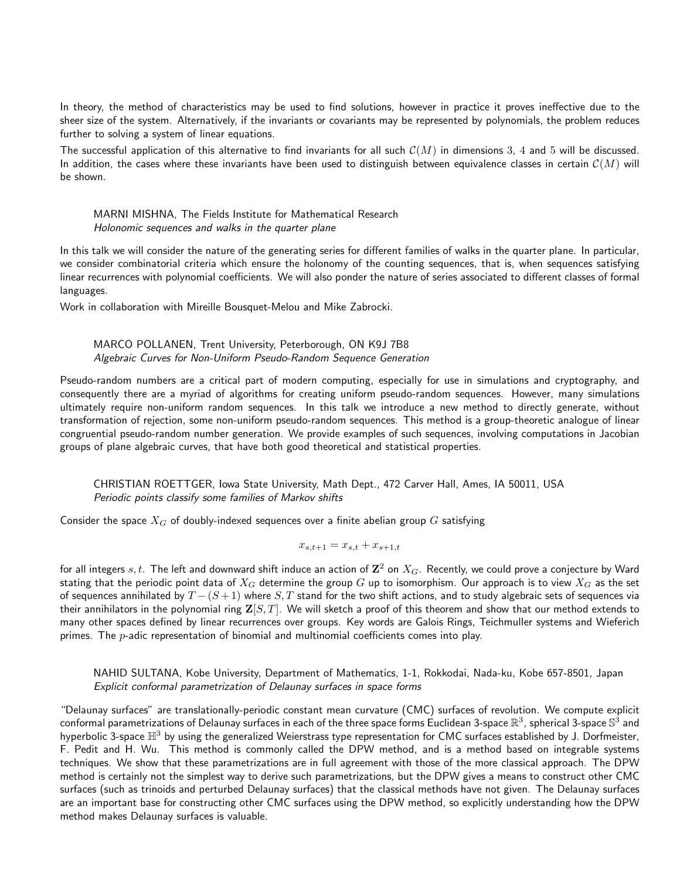In theory, the method of characteristics may be used to find solutions, however in practice it proves ineffective due to the sheer size of the system. Alternatively, if the invariants or covariants may be represented by polynomials, the problem reduces further to solving a system of linear equations.

The successful application of this alternative to find invariants for all such  $C(M)$  in dimensions 3, 4 and 5 will be discussed. In addition, the cases where these invariants have been used to distinguish between equivalence classes in certain  $C(M)$  will be shown.

### MARNI MISHNA, The Fields Institute for Mathematical Research Holonomic sequences and walks in the quarter plane

In this talk we will consider the nature of the generating series for different families of walks in the quarter plane. In particular, we consider combinatorial criteria which ensure the holonomy of the counting sequences, that is, when sequences satisfying linear recurrences with polynomial coefficients. We will also ponder the nature of series associated to different classes of formal languages.

Work in collaboration with Mireille Bousquet-Melou and Mike Zabrocki.

# MARCO POLLANEN, Trent University, Peterborough, ON K9J 7B8 Algebraic Curves for Non-Uniform Pseudo-Random Sequence Generation

Pseudo-random numbers are a critical part of modern computing, especially for use in simulations and cryptography, and consequently there are a myriad of algorithms for creating uniform pseudo-random sequences. However, many simulations ultimately require non-uniform random sequences. In this talk we introduce a new method to directly generate, without transformation of rejection, some non-uniform pseudo-random sequences. This method is a group-theoretic analogue of linear congruential pseudo-random number generation. We provide examples of such sequences, involving computations in Jacobian groups of plane algebraic curves, that have both good theoretical and statistical properties.

CHRISTIAN ROETTGER, Iowa State University, Math Dept., 472 Carver Hall, Ames, IA 50011, USA Periodic points classify some families of Markov shifts

Consider the space  $X_G$  of doubly-indexed sequences over a finite abelian group G satisfying

$$
x_{s,t+1} = x_{s,t} + x_{s+1,t}
$$

for all integers  $s,t.$  The left and downward shift induce an action of  ${\bf Z}^2$  on  $X_G.$  Recently, we could prove a conjecture by Ward stating that the periodic point data of  $X_G$  determine the group G up to isomorphism. Our approach is to view  $X_G$  as the set of sequences annihilated by  $T - (S + 1)$  where S, T stand for the two shift actions, and to study algebraic sets of sequences via their annihilators in the polynomial ring  $\mathbf{Z}[S,T]$ . We will sketch a proof of this theorem and show that our method extends to many other spaces defined by linear recurrences over groups. Key words are Galois Rings, Teichmuller systems and Wieferich primes. The  $p$ -adic representation of binomial and multinomial coefficients comes into play.

# NAHID SULTANA, Kobe University, Department of Mathematics, 1-1, Rokkodai, Nada-ku, Kobe 657-8501, Japan Explicit conformal parametrization of Delaunay surfaces in space forms

"Delaunay surfaces" are translationally-periodic constant mean curvature (CMC) surfaces of revolution. We compute explicit conformal parametrizations of Delaunay surfaces in each of the three space forms Euclidean 3-space  $\R^3$ , spherical 3-space  $\mathbb{S}^3$  and hyperbolic 3-space  $\mathbb{H}^3$  by using the generalized Weierstrass type representation for CMC surfaces established by J. Dorfmeister, F. Pedit and H. Wu. This method is commonly called the DPW method, and is a method based on integrable systems techniques. We show that these parametrizations are in full agreement with those of the more classical approach. The DPW method is certainly not the simplest way to derive such parametrizations, but the DPW gives a means to construct other CMC surfaces (such as trinoids and perturbed Delaunay surfaces) that the classical methods have not given. The Delaunay surfaces are an important base for constructing other CMC surfaces using the DPW method, so explicitly understanding how the DPW method makes Delaunay surfaces is valuable.